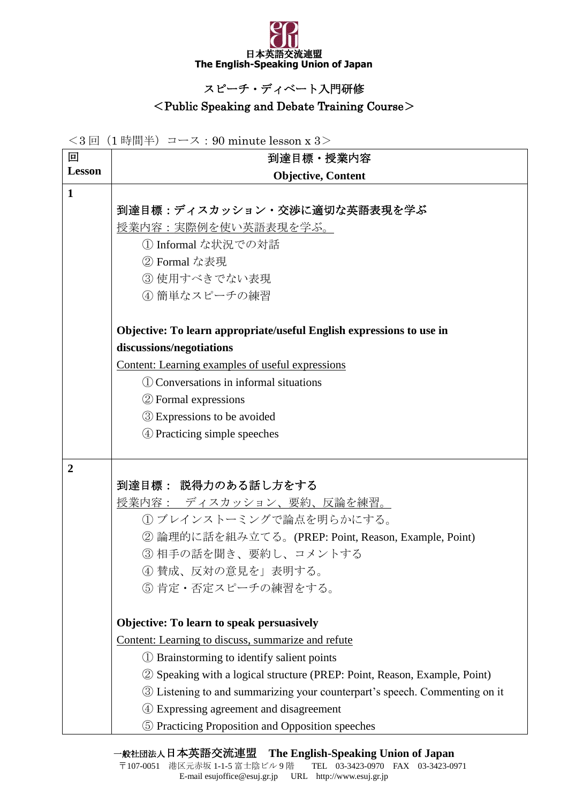

## スピーチ・ディベート入門研修

## <Public Speaking and Debate Training Course>

<3 回(1 時間半)コース:90 minute lesson x 3>

| 回              | 到達目標・授業内容                                                                  |
|----------------|----------------------------------------------------------------------------|
| <b>Lesson</b>  | <b>Objective, Content</b>                                                  |
| $\mathbf{1}$   |                                                                            |
|                | 到達目標:ディスカッション・交渉に適切な英語表現を学ぶ                                                |
|                | 授業内容:実際例を使い英語表現を学ぶ。                                                        |
|                | 1 Informal な状況での対話                                                         |
|                | ② Formal な表現                                                               |
|                | 3 使用すべきでない表現                                                               |
|                | 4 簡単なスピーチの練習                                                               |
|                | Objective: To learn appropriate/useful English expressions to use in       |
|                | discussions/negotiations                                                   |
|                | Content: Learning examples of useful expressions                           |
|                | (1) Conversations in informal situations                                   |
|                | 2 Formal expressions                                                       |
|                | <b>3</b> Expressions to be avoided                                         |
|                | 4 Practicing simple speeches                                               |
|                |                                                                            |
| $\overline{2}$ | 到達目標: 説得力のある話し方をする                                                         |
|                | <b>授業内容: ディスカッション、要約、反論を練習。</b>                                            |
|                | (1) ブレインストーミングで論点を明らかにする。                                                  |
|                | ② 論理的に話を組み立てる。(PREP: Point, Reason, Example, Point)                        |
|                | 3 相手の話を聞き、要約し、コメントする                                                       |
|                | ④ 賛成、反対の意見を」表明する。                                                          |
|                | 5 肯定·否定スピーチの練習をする。                                                         |
|                |                                                                            |
|                | Objective: To learn to speak persuasively                                  |
|                | Content: Learning to discuss, summarize and refute                         |
|                | (1) Brainstorming to identify salient points                               |
|                | 2 Speaking with a logical structure (PREP: Point, Reason, Example, Point)  |
|                | 3 Listening to and summarizing your counterpart's speech. Commenting on it |
|                | Expressing agreement and disagreement                                      |
|                | 5 Practicing Proposition and Opposition speeches                           |